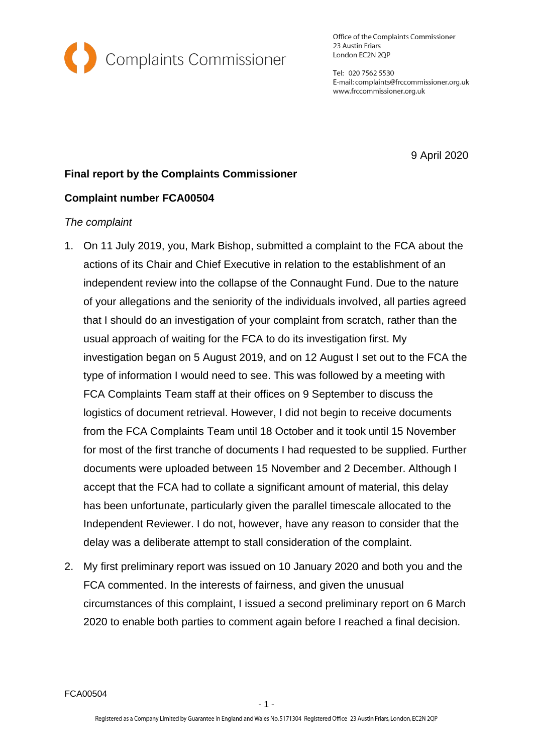

Office of the Complaints Commissioner 23 Austin Friars London EC2N 2QP

Tel: 020 7562 5530 E-mail: complaints@frccommissioner.org.uk www.frccommissioner.org.uk

9 April 2020

# **Final report by the Complaints Commissioner**

# **Complaint number FCA00504**

## *The complaint*

- 1. On 11 July 2019, you, Mark Bishop, submitted a complaint to the FCA about the actions of its Chair and Chief Executive in relation to the establishment of an independent review into the collapse of the Connaught Fund. Due to the nature of your allegations and the seniority of the individuals involved, all parties agreed that I should do an investigation of your complaint from scratch, rather than the usual approach of waiting for the FCA to do its investigation first. My investigation began on 5 August 2019, and on 12 August I set out to the FCA the type of information I would need to see. This was followed by a meeting with FCA Complaints Team staff at their offices on 9 September to discuss the logistics of document retrieval. However, I did not begin to receive documents from the FCA Complaints Team until 18 October and it took until 15 November for most of the first tranche of documents I had requested to be supplied. Further documents were uploaded between 15 November and 2 December. Although I accept that the FCA had to collate a significant amount of material, this delay has been unfortunate, particularly given the parallel timescale allocated to the Independent Reviewer. I do not, however, have any reason to consider that the delay was a deliberate attempt to stall consideration of the complaint.
- 2. My first preliminary report was issued on 10 January 2020 and both you and the FCA commented. In the interests of fairness, and given the unusual circumstances of this complaint, I issued a second preliminary report on 6 March 2020 to enable both parties to comment again before I reached a final decision.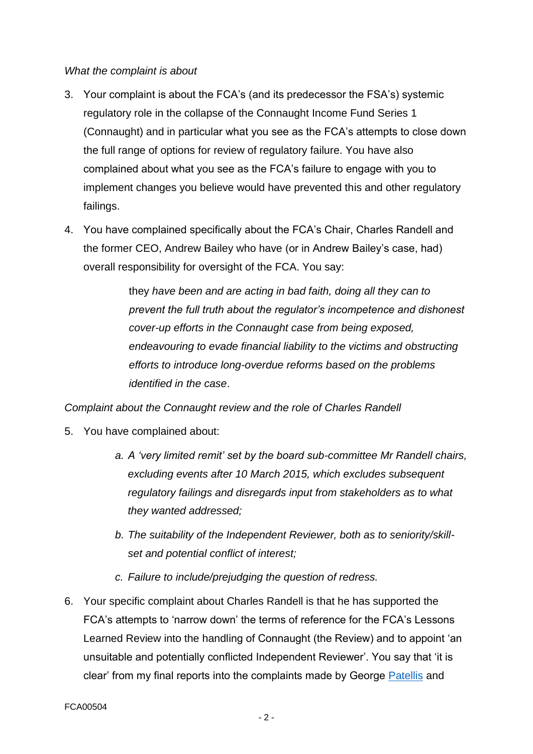#### *What the complaint is about*

- 3. Your complaint is about the FCA's (and its predecessor the FSA's) systemic regulatory role in the collapse of the Connaught Income Fund Series 1 (Connaught) and in particular what you see as the FCA's attempts to close down the full range of options for review of regulatory failure. You have also complained about what you see as the FCA's failure to engage with you to implement changes you believe would have prevented this and other regulatory failings.
- 4. You have complained specifically about the FCA's Chair, Charles Randell and the former CEO, Andrew Bailey who have (or in Andrew Bailey's case, had) overall responsibility for oversight of the FCA. You say:

they *have been and are acting in bad faith, doing all they can to prevent the full truth about the regulator's incompetence and dishonest cover-up efforts in the Connaught case from being exposed, endeavouring to evade financial liability to the victims and obstructing efforts to introduce long-overdue reforms based on the problems identified in the case*.

*Complaint about the Connaught review and the role of Charles Randell* 

- 5. You have complained about:
	- *a. A 'very limited remit' set by the board sub-committee Mr Randell chairs, excluding events after 10 March 2015, which excludes subsequent regulatory failings and disregards input from stakeholders as to what they wanted addressed;*
	- *b. The suitability of the Independent Reviewer, both as to seniority/skillset and potential conflict of interest;*
	- *c. Failure to include/prejudging the question of redress.*
- 6. Your specific complaint about Charles Randell is that he has supported the FCA's attempts to 'narrow down' the terms of reference for the FCA's Lessons Learned Review into the handling of Connaught (the Review) and to appoint 'an unsuitable and potentially conflicted Independent Reviewer'. You say that 'it is clear' from my final reports into the complaints made by George [Patellis](http://frccommissioner.org.uk/wp-content/uploads/FCA00114-Patellis-George-Stage-2-Final-Decision-24-11-16.pdf) and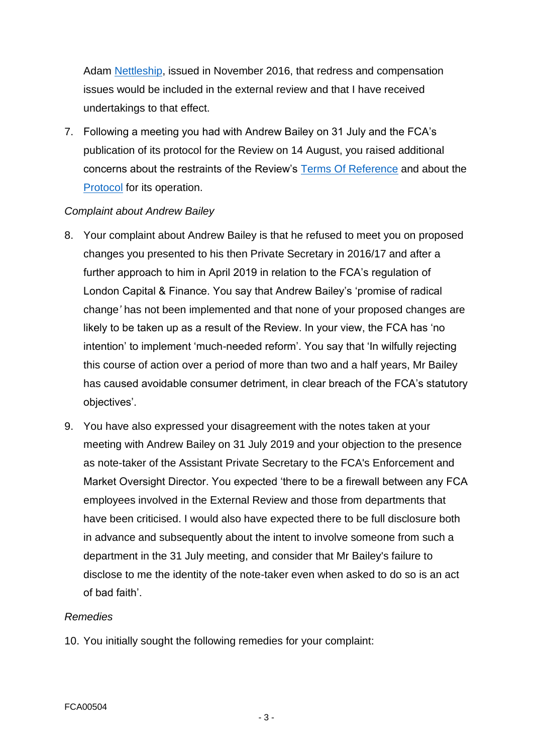Adam [Nettleship,](http://frccommissioner.org.uk/wp-content/uploads/FCA00084-Nettleship-Adam-Stage-2-Final-Decision-24-11-16.pdf) issued in November 2016, that redress and compensation issues would be included in the external review and that I have received undertakings to that effect.

7. Following a meeting you had with Andrew Bailey on 31 July and the FCA's publication of its protocol for the Review on 14 August, you raised additional concerns about the restraints of the Review's [Terms Of Reference](https://www.fca.org.uk/publication/corporate/terms-of-reference-connaught-income-fund-series-one-connected-companies.pdf) and about the [Protocol](https://www.fca.org.uk/publication/corporate/protocol-independent-review-connaught.pdf) for its operation.

## *Complaint about Andrew Bailey*

- 8. Your complaint about Andrew Bailey is that he refused to meet you on proposed changes you presented to his then Private Secretary in 2016/17 and after a further approach to him in April 2019 in relation to the FCA's regulation of London Capital & Finance. You say that Andrew Bailey's 'promise of radical change*'* has not been implemented and that none of your proposed changes are likely to be taken up as a result of the Review. In your view, the FCA has 'no intention' to implement 'much-needed reform'. You say that 'In wilfully rejecting this course of action over a period of more than two and a half years, Mr Bailey has caused avoidable consumer detriment, in clear breach of the FCA's statutory objectives'.
- 9. You have also expressed your disagreement with the notes taken at your meeting with Andrew Bailey on 31 July 2019 and your objection to the presence as note-taker of the Assistant Private Secretary to the FCA's Enforcement and Market Oversight Director. You expected 'there to be a firewall between any FCA employees involved in the External Review and those from departments that have been criticised. I would also have expected there to be full disclosure both in advance and subsequently about the intent to involve someone from such a department in the 31 July meeting, and consider that Mr Bailey's failure to disclose to me the identity of the note-taker even when asked to do so is an act of bad faith'.

#### *Remedies*

10. You initially sought the following remedies for your complaint: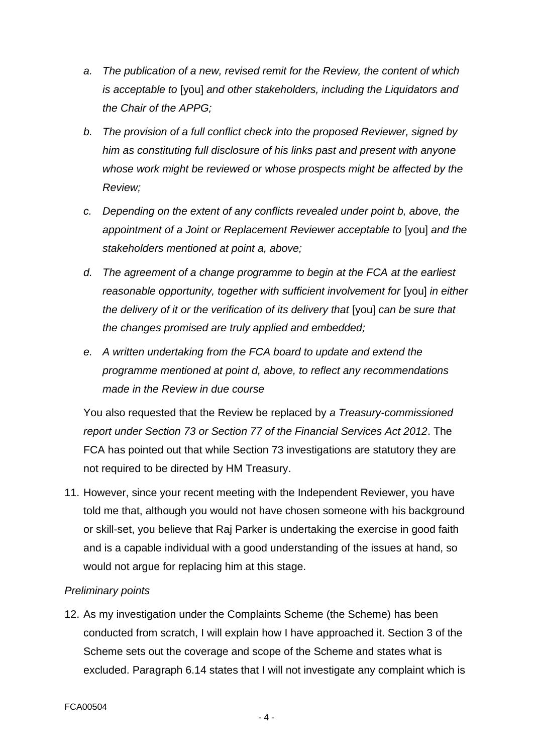- *a. The publication of a new, revised remit for the Review, the content of which is acceptable to* [you] *and other stakeholders, including the Liquidators and the Chair of the APPG;*
- *b. The provision of a full conflict check into the proposed Reviewer, signed by him as constituting full disclosure of his links past and present with anyone whose work might be reviewed or whose prospects might be affected by the Review;*
- *c. Depending on the extent of any conflicts revealed under point b, above, the appointment of a Joint or Replacement Reviewer acceptable to* [you] *and the stakeholders mentioned at point a, above;*
- *d. The agreement of a change programme to begin at the FCA at the earliest reasonable opportunity, together with sufficient involvement for [you] in either the delivery of it or the verification of its delivery that Ivoul can be sure that the changes promised are truly applied and embedded;*
- *e. A written undertaking from the FCA board to update and extend the programme mentioned at point d, above, to reflect any recommendations made in the Review in due course*

You also requested that the Review be replaced by *a Treasury-commissioned report under Section 73 or Section 77 of the Financial Services Act 2012*. The FCA has pointed out that while Section 73 investigations are statutory they are not required to be directed by HM Treasury.

11. However, since your recent meeting with the Independent Reviewer, you have told me that, although you would not have chosen someone with his background or skill-set, you believe that Raj Parker is undertaking the exercise in good faith and is a capable individual with a good understanding of the issues at hand, so would not argue for replacing him at this stage.

# *Preliminary points*

12. As my investigation under the Complaints Scheme (the Scheme) has been conducted from scratch, I will explain how I have approached it. Section 3 of the Scheme sets out the coverage and scope of the Scheme and states what is excluded. Paragraph 6.14 states that I will not investigate any complaint which is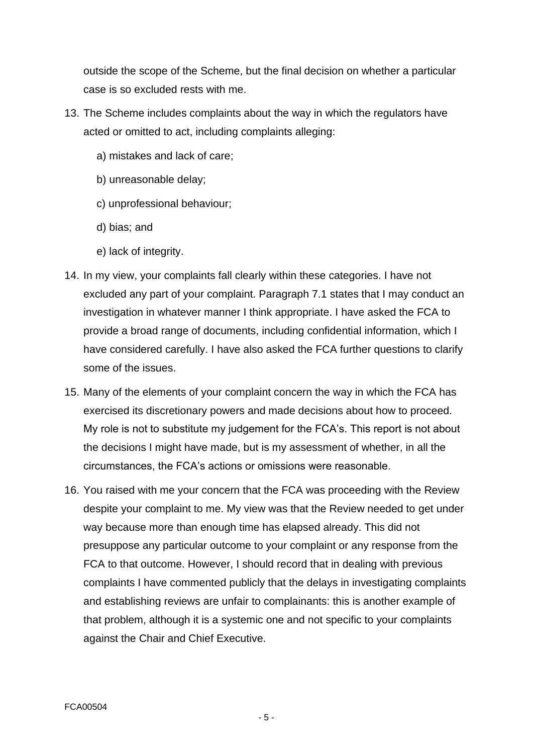outside the scope of the Scheme, but the final decision on whether a particular case is so excluded rests with me.

- 13. The Scheme includes complaints about the way in which the regulators have acted or omitted to act, including complaints alleging:
	- a) mistakes and lack of care;
	- b) unreasonable delay;
	- c) unprofessional behaviour;
	- d) bias; and
	- e) lack of integrity.
- 14. In my view, your complaints fall clearly within these categories. I have not excluded any part of your complaint. Paragraph 7.1 states that I may conduct an investigation in whatever manner I think appropriate. I have asked the FCA to provide a broad range of documents, including confidential information, which I have considered carefully. I have also asked the FCA further questions to clarify some of the issues.
- 15. Many of the elements of your complaint concern the way in which the FCA has exercised its discretionary powers and made decisions about how to proceed. My role is not to substitute my judgement for the FCA's. This report is not about the decisions I might have made, but is my assessment of whether, in all the circumstances, the FCA's actions or omissions were reasonable.
- 16. You raised with me your concern that the FCA was proceeding with the Review despite your complaint to me. My view was that the Review needed to get under way because more than enough time has elapsed already. This did not presuppose any particular outcome to your complaint or any response from the FCA to that outcome. However, I should record that in dealing with previous complaints I have commented publicly that the delays in investigating complaints and establishing reviews are unfair to complainants: this is another example of that problem, although it is a systemic one and not specific to your complaints against the Chair and Chief Executive.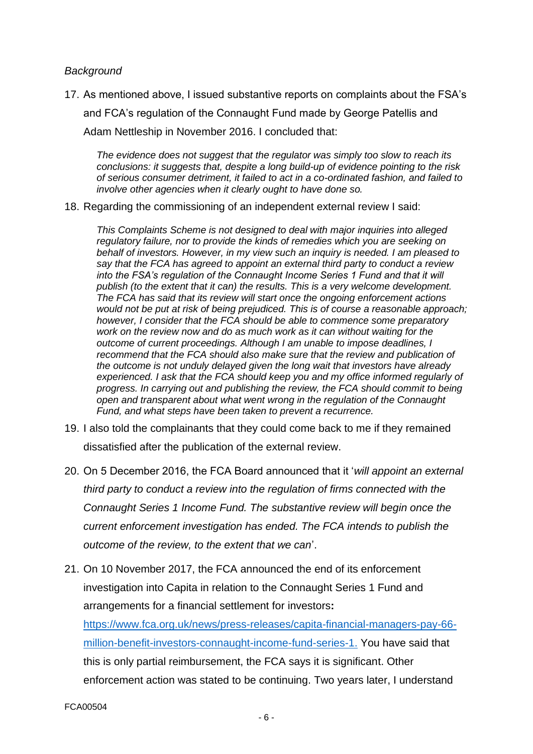#### *Background*

17. As mentioned above, I issued substantive reports on complaints about the FSA's and FCA's regulation of the Connaught Fund made by George Patellis and Adam Nettleship in November 2016. I concluded that:

*The evidence does not suggest that the regulator was simply too slow to reach its conclusions: it suggests that, despite a long build-up of evidence pointing to the risk of serious consumer detriment, it failed to act in a co-ordinated fashion, and failed to involve other agencies when it clearly ought to have done so.*

18. Regarding the commissioning of an independent external review I said:

*This Complaints Scheme is not designed to deal with major inquiries into alleged regulatory failure, nor to provide the kinds of remedies which you are seeking on behalf of investors. However, in my view such an inquiry is needed. I am pleased to say that the FCA has agreed to appoint an external third party to conduct a review into the FSA's regulation of the Connaught Income Series 1 Fund and that it will publish (to the extent that it can) the results. This is a very welcome development. The FCA has said that its review will start once the ongoing enforcement actions would not be put at risk of being prejudiced. This is of course a reasonable approach; however, I consider that the FCA should be able to commence some preparatory work on the review now and do as much work as it can without waiting for the outcome of current proceedings. Although I am unable to impose deadlines, I recommend that the FCA should also make sure that the review and publication of the outcome is not unduly delayed given the long wait that investors have already experienced. I ask that the FCA should keep you and my office informed regularly of progress. In carrying out and publishing the review, the FCA should commit to being open and transparent about what went wrong in the regulation of the Connaught Fund, and what steps have been taken to prevent a recurrence.* 

- 19. I also told the complainants that they could come back to me if they remained dissatisfied after the publication of the external review.
- 20. On 5 December 2016, the FCA Board announced that it '*will appoint an external third party to conduct a review into the regulation of firms connected with the Connaught Series 1 Income Fund. The substantive review will begin once the current enforcement investigation has ended. The FCA intends to publish the outcome of the review, to the extent that we can*'.
- 21. On 10 November 2017, the FCA announced the end of its enforcement investigation into Capita in relation to the Connaught Series 1 Fund and arrangements for a financial settlement for investors**:**  [https://www.fca.org.uk/news/press-releases/capita-financial-managers-pay-66](https://www.fca.org.uk/news/press-releases/capita-financial-managers-pay-66-million-benefit-investors-connaught-income-fund-series-1) [million-benefit-investors-connaught-income-fund-series-1.](https://www.fca.org.uk/news/press-releases/capita-financial-managers-pay-66-million-benefit-investors-connaught-income-fund-series-1) You have said that this is only partial reimbursement, the FCA says it is significant. Other enforcement action was stated to be continuing. Two years later, I understand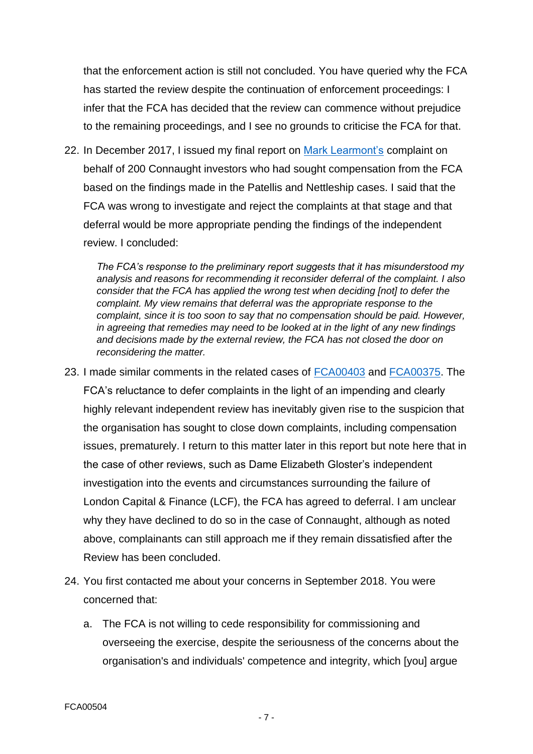that the enforcement action is still not concluded. You have queried why the FCA has started the review despite the continuation of enforcement proceedings: I infer that the FCA has decided that the review can commence without prejudice to the remaining proceedings, and I see no grounds to criticise the FCA for that.

22. In December 2017, I issued my final report on [Mark Learmont's](http://frccommissioner.org.uk/wp-content/uploads/FCA00383-for-publication-FR-7-12-2017.pdf) complaint on behalf of 200 Connaught investors who had sought compensation from the FCA based on the findings made in the Patellis and Nettleship cases. I said that the FCA was wrong to investigate and reject the complaints at that stage and that deferral would be more appropriate pending the findings of the independent review. I concluded:

*The FCA's response to the preliminary report suggests that it has misunderstood my analysis and reasons for recommending it reconsider deferral of the complaint. I also consider that the FCA has applied the wrong test when deciding [not] to defer the complaint. My view remains that deferral was the appropriate response to the complaint, since it is too soon to say that no compensation should be paid. However, in agreeing that remedies may need to be looked at in the light of any new findings and decisions made by the external review, the FCA has not closed the door on reconsidering the matter.*

- 23. I made similar comments in the related cases of [FCA00403](http://frccommissioner.org.uk/wp-content/uploads/FCA00403-for-publication-FR-7-12-2017.pdf) and [FCA00375.](http://frccommissioner.org.uk/wp-content/uploads/FCA00375-for-publication-FR-7-12-2017.pdf) The FCA's reluctance to defer complaints in the light of an impending and clearly highly relevant independent review has inevitably given rise to the suspicion that the organisation has sought to close down complaints, including compensation issues, prematurely. I return to this matter later in this report but note here that in the case of other reviews, such as Dame Elizabeth Gloster's independent investigation into the events and circumstances surrounding the failure of London Capital & Finance (LCF), the FCA has agreed to deferral. I am unclear why they have declined to do so in the case of Connaught, although as noted above, complainants can still approach me if they remain dissatisfied after the Review has been concluded.
- 24. You first contacted me about your concerns in September 2018. You were concerned that:
	- a. The FCA is not willing to cede responsibility for commissioning and overseeing the exercise, despite the seriousness of the concerns about the organisation's and individuals' competence and integrity, which [you] argue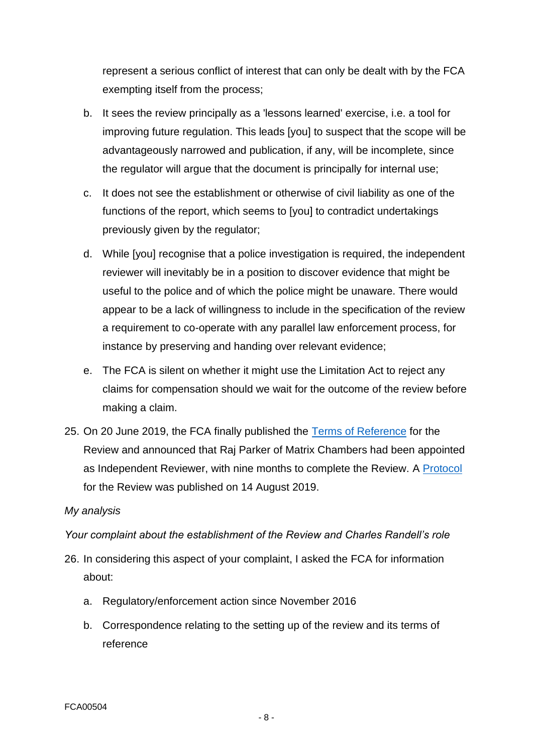represent a serious conflict of interest that can only be dealt with by the FCA exempting itself from the process;

- b. It sees the review principally as a 'lessons learned' exercise, i.e. a tool for improving future regulation. This leads [you] to suspect that the scope will be advantageously narrowed and publication, if any, will be incomplete, since the regulator will argue that the document is principally for internal use;
- c. It does not see the establishment or otherwise of civil liability as one of the functions of the report, which seems to [you] to contradict undertakings previously given by the regulator;
- d. While [you] recognise that a police investigation is required, the independent reviewer will inevitably be in a position to discover evidence that might be useful to the police and of which the police might be unaware. There would appear to be a lack of willingness to include in the specification of the review a requirement to co-operate with any parallel law enforcement process, for instance by preserving and handing over relevant evidence;
- e. The FCA is silent on whether it might use the Limitation Act to reject any claims for compensation should we wait for the outcome of the review before making a claim.
- 25. On 20 June 2019, the FCA finally published the [Terms of Reference](https://www.fca.org.uk/publication/corporate/terms-of-reference-connaught-income-fund-series-one-connected-companies.pdf) for the Review and announced that Raj Parker of Matrix Chambers had been appointed as Independent Reviewer, with nine months to complete the Review. A [Protocol](https://www.fca.org.uk/publication/corporate/protocol-independent-review-connaught.pdf) for the Review was published on 14 August 2019.

# *My analysis*

*Your complaint about the establishment of the Review and Charles Randell's role*

- 26. In considering this aspect of your complaint, I asked the FCA for information about:
	- a. Regulatory/enforcement action since November 2016
	- b. Correspondence relating to the setting up of the review and its terms of reference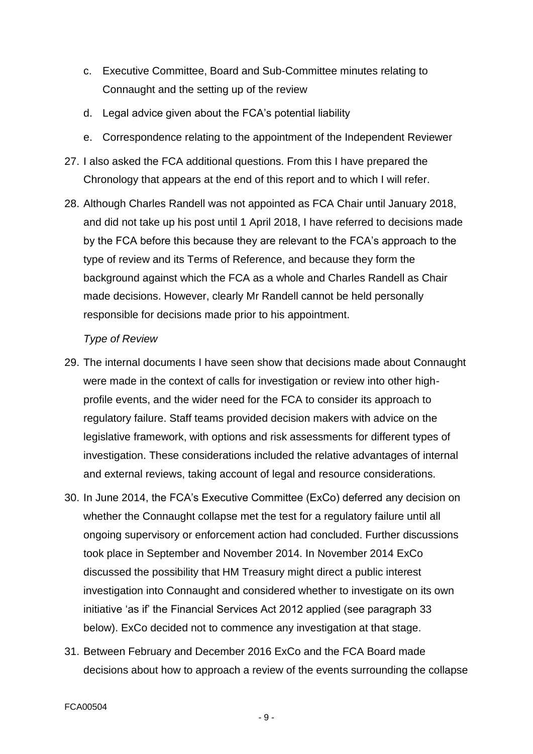- c. Executive Committee, Board and Sub-Committee minutes relating to Connaught and the setting up of the review
- d. Legal advice given about the FCA's potential liability
- e. Correspondence relating to the appointment of the Independent Reviewer
- 27. I also asked the FCA additional questions. From this I have prepared the Chronology that appears at the end of this report and to which I will refer.
- 28. Although Charles Randell was not appointed as FCA Chair until January 2018, and did not take up his post until 1 April 2018, I have referred to decisions made by the FCA before this because they are relevant to the FCA's approach to the type of review and its Terms of Reference, and because they form the background against which the FCA as a whole and Charles Randell as Chair made decisions. However, clearly Mr Randell cannot be held personally responsible for decisions made prior to his appointment.

#### *Type of Review*

- 29. The internal documents I have seen show that decisions made about Connaught were made in the context of calls for investigation or review into other highprofile events, and the wider need for the FCA to consider its approach to regulatory failure. Staff teams provided decision makers with advice on the legislative framework, with options and risk assessments for different types of investigation. These considerations included the relative advantages of internal and external reviews, taking account of legal and resource considerations.
- 30. In June 2014, the FCA's Executive Committee (ExCo) deferred any decision on whether the Connaught collapse met the test for a regulatory failure until all ongoing supervisory or enforcement action had concluded. Further discussions took place in September and November 2014. In November 2014 ExCo discussed the possibility that HM Treasury might direct a public interest investigation into Connaught and considered whether to investigate on its own initiative 'as if' the Financial Services Act 2012 applied (see paragraph 33 below). ExCo decided not to commence any investigation at that stage.
- 31. Between February and December 2016 ExCo and the FCA Board made decisions about how to approach a review of the events surrounding the collapse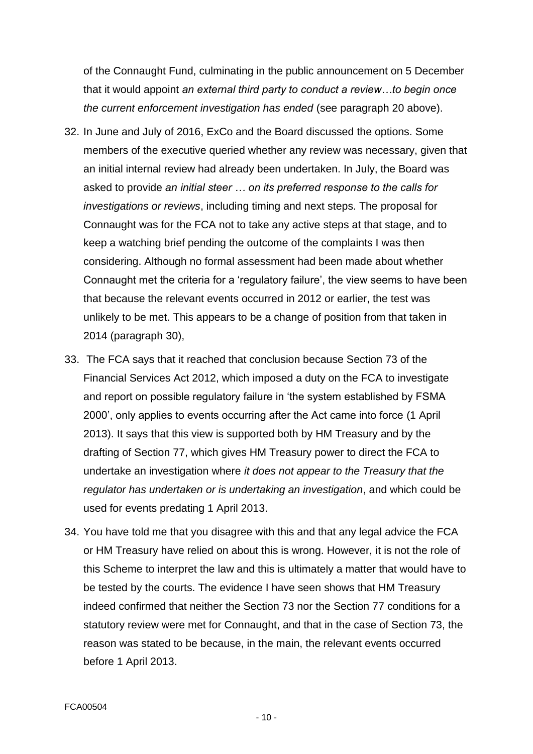of the Connaught Fund, culminating in the public announcement on 5 December that it would appoint *an external third party to conduct a review…to begin once the current enforcement investigation has ended* (see paragraph 20 above).

- 32. In June and July of 2016, ExCo and the Board discussed the options. Some members of the executive queried whether any review was necessary, given that an initial internal review had already been undertaken. In July, the Board was asked to provide *an initial steer … on its preferred response to the calls for investigations or reviews*, including timing and next steps. The proposal for Connaught was for the FCA not to take any active steps at that stage, and to keep a watching brief pending the outcome of the complaints I was then considering. Although no formal assessment had been made about whether Connaught met the criteria for a 'regulatory failure', the view seems to have been that because the relevant events occurred in 2012 or earlier, the test was unlikely to be met. This appears to be a change of position from that taken in 2014 (paragraph 30),
- 33. The FCA says that it reached that conclusion because Section 73 of the Financial Services Act 2012, which imposed a duty on the FCA to investigate and report on possible regulatory failure in 'the system established by FSMA 2000', only applies to events occurring after the Act came into force (1 April 2013). It says that this view is supported both by HM Treasury and by the drafting of Section 77, which gives HM Treasury power to direct the FCA to undertake an investigation where *it does not appear to the Treasury that the regulator has undertaken or is undertaking an investigation*, and which could be used for events predating 1 April 2013.
- 34. You have told me that you disagree with this and that any legal advice the FCA or HM Treasury have relied on about this is wrong. However, it is not the role of this Scheme to interpret the law and this is ultimately a matter that would have to be tested by the courts. The evidence I have seen shows that HM Treasury indeed confirmed that neither the Section 73 nor the Section 77 conditions for a statutory review were met for Connaught, and that in the case of Section 73, the reason was stated to be because, in the main, the relevant events occurred before 1 April 2013.

- 10 -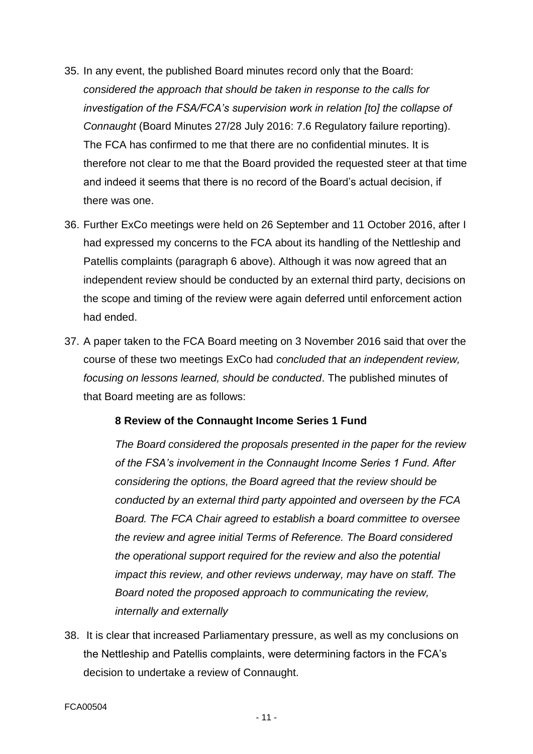- 35. In any event, the published Board minutes record only that the Board: *considered the approach that should be taken in response to the calls for investigation of the FSA/FCA's supervision work in relation [to] the collapse of Connaught* (Board Minutes 27/28 July 2016: 7.6 Regulatory failure reporting). The FCA has confirmed to me that there are no confidential minutes. It is therefore not clear to me that the Board provided the requested steer at that time and indeed it seems that there is no record of the Board's actual decision, if there was one.
- 36. Further ExCo meetings were held on 26 September and 11 October 2016, after I had expressed my concerns to the FCA about its handling of the Nettleship and Patellis complaints (paragraph 6 above). Although it was now agreed that an independent review should be conducted by an external third party, decisions on the scope and timing of the review were again deferred until enforcement action had ended.
- 37. A paper taken to the FCA Board meeting on 3 November 2016 said that over the course of these two meetings ExCo had *concluded that an independent review, focusing on lessons learned, should be conducted*. The published minutes of that Board meeting are as follows:

#### **8 Review of the Connaught Income Series 1 Fund**

*The Board considered the proposals presented in the paper for the review of the FSA's involvement in the Connaught Income Series 1 Fund. After considering the options, the Board agreed that the review should be conducted by an external third party appointed and overseen by the FCA Board. The FCA Chair agreed to establish a board committee to oversee the review and agree initial Terms of Reference. The Board considered the operational support required for the review and also the potential impact this review, and other reviews underway, may have on staff. The Board noted the proposed approach to communicating the review, internally and externally*

38. It is clear that increased Parliamentary pressure, as well as my conclusions on the Nettleship and Patellis complaints, were determining factors in the FCA's decision to undertake a review of Connaught.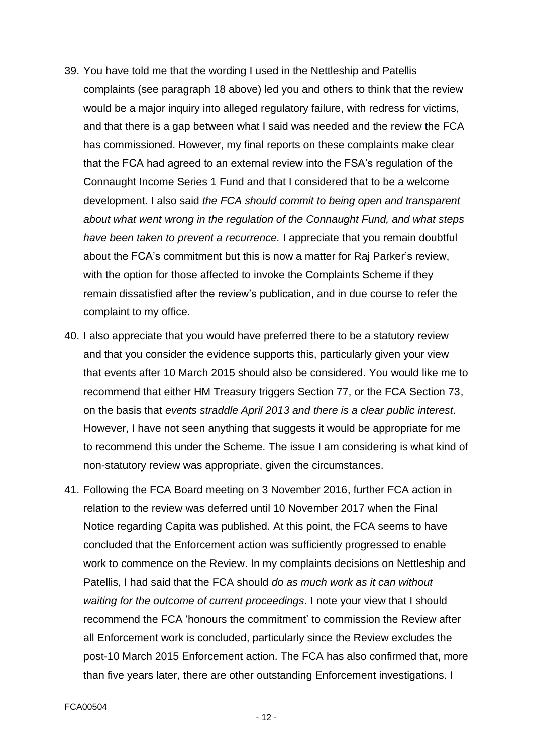- 39. You have told me that the wording I used in the Nettleship and Patellis complaints (see paragraph 18 above) led you and others to think that the review would be a major inquiry into alleged regulatory failure, with redress for victims, and that there is a gap between what I said was needed and the review the FCA has commissioned. However, my final reports on these complaints make clear that the FCA had agreed to an external review into the FSA's regulation of the Connaught Income Series 1 Fund and that I considered that to be a welcome development. I also said *the FCA should commit to being open and transparent about what went wrong in the regulation of the Connaught Fund, and what steps have been taken to prevent a recurrence.* I appreciate that you remain doubtful about the FCA's commitment but this is now a matter for Raj Parker's review, with the option for those affected to invoke the Complaints Scheme if they remain dissatisfied after the review's publication, and in due course to refer the complaint to my office.
- 40. I also appreciate that you would have preferred there to be a statutory review and that you consider the evidence supports this, particularly given your view that events after 10 March 2015 should also be considered. You would like me to recommend that either HM Treasury triggers Section 77, or the FCA Section 73, on the basis that *events straddle April 2013 and there is a clear public interest*. However, I have not seen anything that suggests it would be appropriate for me to recommend this under the Scheme. The issue I am considering is what kind of non-statutory review was appropriate, given the circumstances.
- 41. Following the FCA Board meeting on 3 November 2016, further FCA action in relation to the review was deferred until 10 November 2017 when the Final Notice regarding Capita was published. At this point, the FCA seems to have concluded that the Enforcement action was sufficiently progressed to enable work to commence on the Review. In my complaints decisions on Nettleship and Patellis, I had said that the FCA should *do as much work as it can without waiting for the outcome of current proceedings*. I note your view that I should recommend the FCA 'honours the commitment' to commission the Review after all Enforcement work is concluded, particularly since the Review excludes the post-10 March 2015 Enforcement action. The FCA has also confirmed that, more than five years later, there are other outstanding Enforcement investigations. I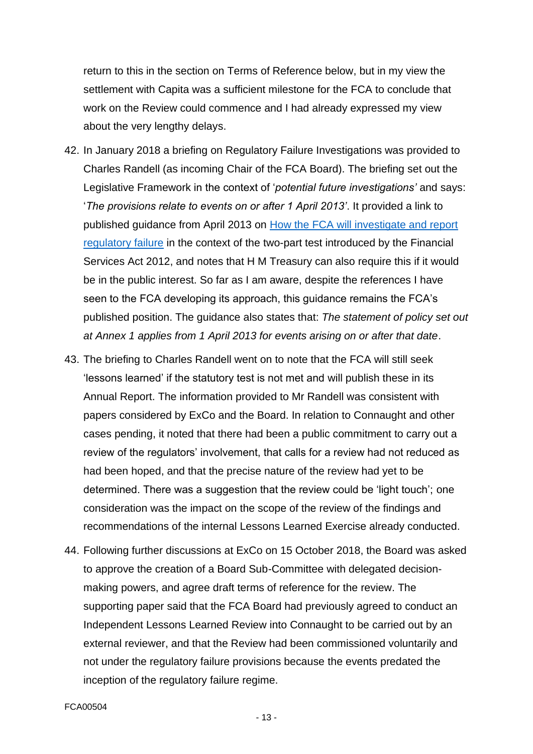return to this in the section on Terms of Reference below, but in my view the settlement with Capita was a sufficient milestone for the FCA to conclude that work on the Review could commence and I had already expressed my view about the very lengthy delays.

- 42. In January 2018 a briefing on Regulatory Failure Investigations was provided to Charles Randell (as incoming Chair of the FCA Board). The briefing set out the Legislative Framework in the context of '*potential future investigations'* and says: '*The provisions relate to events on or after 1 April 2013'*. It provided a link to published guidance from April 2013 on [How the FCA will investigate and report](https://www.fca.org.uk/publication/corporate/how-fca-will-investigate-and-report-regulatory-failure.pdf)  [regulatory failure](https://www.fca.org.uk/publication/corporate/how-fca-will-investigate-and-report-regulatory-failure.pdf) in the context of the two-part test introduced by the Financial Services Act 2012, and notes that H M Treasury can also require this if it would be in the public interest. So far as I am aware, despite the references I have seen to the FCA developing its approach, this guidance remains the FCA's published position. The guidance also states that: *The statement of policy set out at Annex 1 applies from 1 April 2013 for events arising on or after that date*.
- 43. The briefing to Charles Randell went on to note that the FCA will still seek 'lessons learned' if the statutory test is not met and will publish these in its Annual Report. The information provided to Mr Randell was consistent with papers considered by ExCo and the Board. In relation to Connaught and other cases pending, it noted that there had been a public commitment to carry out a review of the regulators' involvement, that calls for a review had not reduced as had been hoped, and that the precise nature of the review had yet to be determined. There was a suggestion that the review could be 'light touch'; one consideration was the impact on the scope of the review of the findings and recommendations of the internal Lessons Learned Exercise already conducted.
- 44. Following further discussions at ExCo on 15 October 2018, the Board was asked to approve the creation of a Board Sub-Committee with delegated decisionmaking powers, and agree draft terms of reference for the review. The supporting paper said that the FCA Board had previously agreed to conduct an Independent Lessons Learned Review into Connaught to be carried out by an external reviewer, and that the Review had been commissioned voluntarily and not under the regulatory failure provisions because the events predated the inception of the regulatory failure regime.

#### FCA00504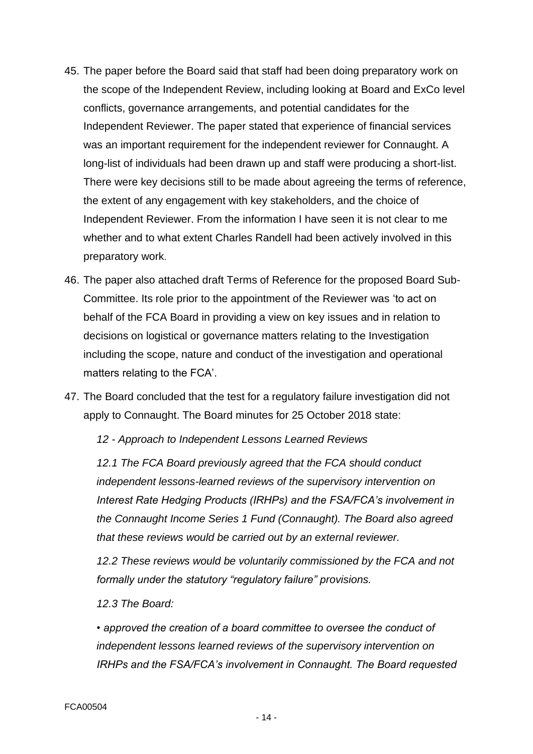- 45. The paper before the Board said that staff had been doing preparatory work on the scope of the Independent Review, including looking at Board and ExCo level conflicts, governance arrangements, and potential candidates for the Independent Reviewer. The paper stated that experience of financial services was an important requirement for the independent reviewer for Connaught. A long-list of individuals had been drawn up and staff were producing a short-list. There were key decisions still to be made about agreeing the terms of reference, the extent of any engagement with key stakeholders, and the choice of Independent Reviewer. From the information I have seen it is not clear to me whether and to what extent Charles Randell had been actively involved in this preparatory work.
- 46. The paper also attached draft Terms of Reference for the proposed Board Sub-Committee. Its role prior to the appointment of the Reviewer was 'to act on behalf of the FCA Board in providing a view on key issues and in relation to decisions on logistical or governance matters relating to the Investigation including the scope, nature and conduct of the investigation and operational matters relating to the FCA'.
- 47. The Board concluded that the test for a regulatory failure investigation did not apply to Connaught. The Board minutes for 25 October 2018 state:

*12 - Approach to Independent Lessons Learned Reviews*

*12.1 The FCA Board previously agreed that the FCA should conduct independent lessons-learned reviews of the supervisory intervention on Interest Rate Hedging Products (IRHPs) and the FSA/FCA's involvement in the Connaught Income Series 1 Fund (Connaught). The Board also agreed that these reviews would be carried out by an external reviewer.*

*12.2 These reviews would be voluntarily commissioned by the FCA and not formally under the statutory "regulatory failure" provisions.*

*12.3 The Board:*

*• approved the creation of a board committee to oversee the conduct of independent lessons learned reviews of the supervisory intervention on IRHPs and the FSA/FCA's involvement in Connaught. The Board requested*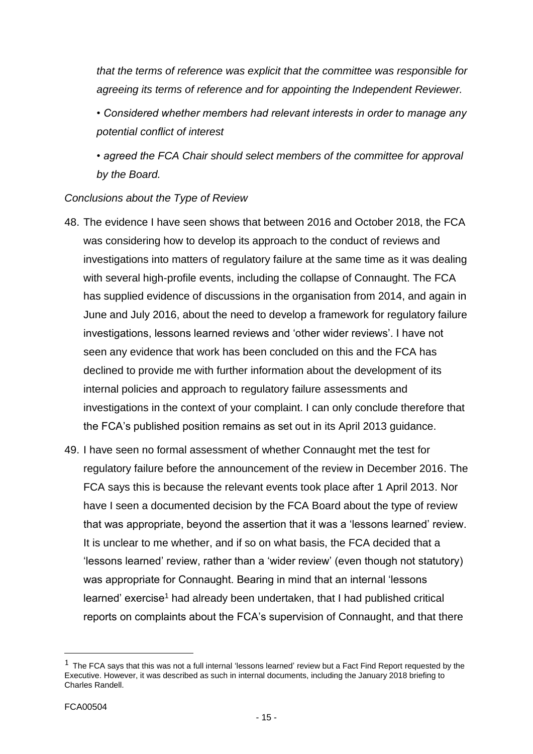*that the terms of reference was explicit that the committee was responsible for agreeing its terms of reference and for appointing the Independent Reviewer.*

*• Considered whether members had relevant interests in order to manage any potential conflict of interest*

*• agreed the FCA Chair should select members of the committee for approval by the Board.*

# *Conclusions about the Type of Review*

- 48. The evidence I have seen shows that between 2016 and October 2018, the FCA was considering how to develop its approach to the conduct of reviews and investigations into matters of regulatory failure at the same time as it was dealing with several high-profile events, including the collapse of Connaught. The FCA has supplied evidence of discussions in the organisation from 2014, and again in June and July 2016, about the need to develop a framework for regulatory failure investigations, lessons learned reviews and 'other wider reviews'. I have not seen any evidence that work has been concluded on this and the FCA has declined to provide me with further information about the development of its internal policies and approach to regulatory failure assessments and investigations in the context of your complaint. I can only conclude therefore that the FCA's published position remains as set out in its April 2013 guidance.
- 49. I have seen no formal assessment of whether Connaught met the test for regulatory failure before the announcement of the review in December 2016. The FCA says this is because the relevant events took place after 1 April 2013. Nor have I seen a documented decision by the FCA Board about the type of review that was appropriate, beyond the assertion that it was a 'lessons learned' review. It is unclear to me whether, and if so on what basis, the FCA decided that a 'lessons learned' review, rather than a 'wider review' (even though not statutory) was appropriate for Connaught. Bearing in mind that an internal 'lessons learned' exercise<sup>1</sup> had already been undertaken, that I had published critical reports on complaints about the FCA's supervision of Connaught, and that there

 $1$  The FCA says that this was not a full internal 'lessons learned' review but a Fact Find Report requested by the Executive. However, it was described as such in internal documents, including the January 2018 briefing to Charles Randell.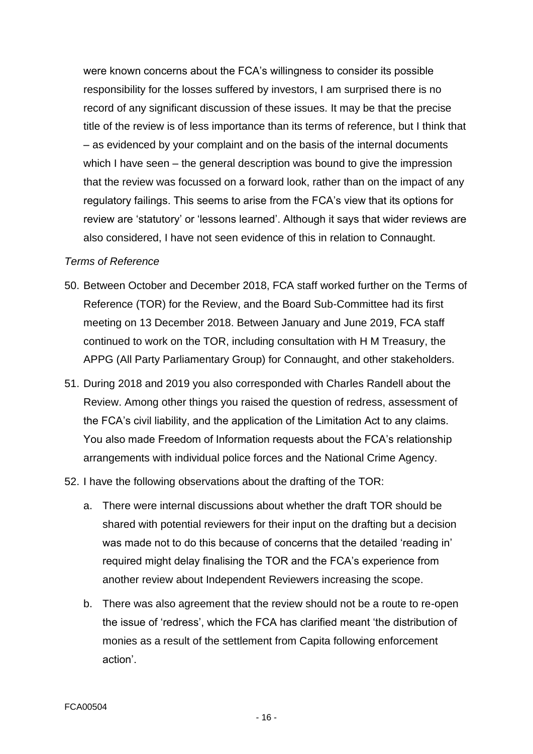were known concerns about the FCA's willingness to consider its possible responsibility for the losses suffered by investors, I am surprised there is no record of any significant discussion of these issues. It may be that the precise title of the review is of less importance than its terms of reference, but I think that – as evidenced by your complaint and on the basis of the internal documents which I have seen – the general description was bound to give the impression that the review was focussed on a forward look, rather than on the impact of any regulatory failings. This seems to arise from the FCA's view that its options for review are 'statutory' or 'lessons learned'. Although it says that wider reviews are also considered, I have not seen evidence of this in relation to Connaught.

#### *Terms of Reference*

- 50. Between October and December 2018, FCA staff worked further on the Terms of Reference (TOR) for the Review, and the Board Sub-Committee had its first meeting on 13 December 2018. Between January and June 2019, FCA staff continued to work on the TOR, including consultation with H M Treasury, the APPG (All Party Parliamentary Group) for Connaught, and other stakeholders.
- 51. During 2018 and 2019 you also corresponded with Charles Randell about the Review. Among other things you raised the question of redress, assessment of the FCA's civil liability, and the application of the Limitation Act to any claims. You also made Freedom of Information requests about the FCA's relationship arrangements with individual police forces and the National Crime Agency.
- 52. I have the following observations about the drafting of the TOR:
	- a. There were internal discussions about whether the draft TOR should be shared with potential reviewers for their input on the drafting but a decision was made not to do this because of concerns that the detailed 'reading in' required might delay finalising the TOR and the FCA's experience from another review about Independent Reviewers increasing the scope.
	- b. There was also agreement that the review should not be a route to re-open the issue of 'redress', which the FCA has clarified meant 'the distribution of monies as a result of the settlement from Capita following enforcement action'.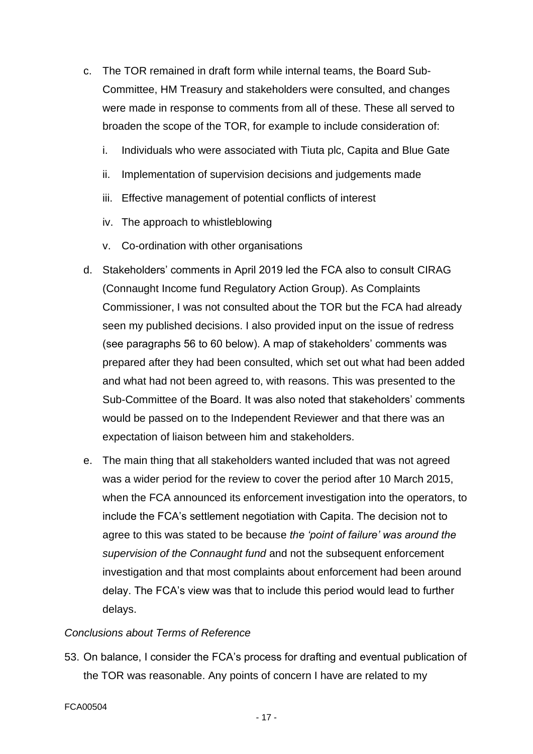- c. The TOR remained in draft form while internal teams, the Board Sub-Committee, HM Treasury and stakeholders were consulted, and changes were made in response to comments from all of these. These all served to broaden the scope of the TOR, for example to include consideration of:
	- i. Individuals who were associated with Tiuta plc, Capita and Blue Gate
	- ii. Implementation of supervision decisions and judgements made
	- iii. Effective management of potential conflicts of interest
	- iv. The approach to whistleblowing
	- v. Co-ordination with other organisations
- d. Stakeholders' comments in April 2019 led the FCA also to consult CIRAG (Connaught Income fund Regulatory Action Group). As Complaints Commissioner, I was not consulted about the TOR but the FCA had already seen my published decisions. I also provided input on the issue of redress (see paragraphs 56 to 60 below). A map of stakeholders' comments was prepared after they had been consulted, which set out what had been added and what had not been agreed to, with reasons. This was presented to the Sub-Committee of the Board. It was also noted that stakeholders' comments would be passed on to the Independent Reviewer and that there was an expectation of liaison between him and stakeholders.
- e. The main thing that all stakeholders wanted included that was not agreed was a wider period for the review to cover the period after 10 March 2015, when the FCA announced its enforcement investigation into the operators, to include the FCA's settlement negotiation with Capita. The decision not to agree to this was stated to be because *the 'point of failure' was around the supervision of the Connaught fund* and not the subsequent enforcement investigation and that most complaints about enforcement had been around delay. The FCA's view was that to include this period would lead to further delays.

# *Conclusions about Terms of Reference*

53. On balance, I consider the FCA's process for drafting and eventual publication of the TOR was reasonable. Any points of concern I have are related to my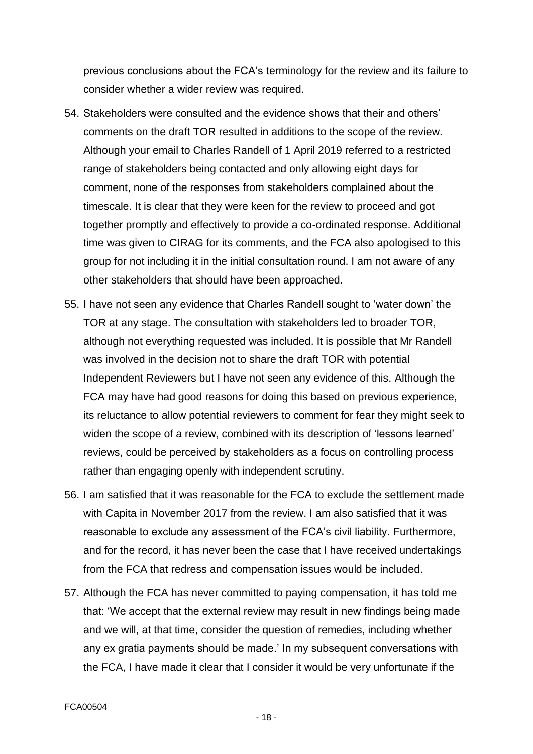previous conclusions about the FCA's terminology for the review and its failure to consider whether a wider review was required.

- 54. Stakeholders were consulted and the evidence shows that their and others' comments on the draft TOR resulted in additions to the scope of the review. Although your email to Charles Randell of 1 April 2019 referred to a restricted range of stakeholders being contacted and only allowing eight days for comment, none of the responses from stakeholders complained about the timescale. It is clear that they were keen for the review to proceed and got together promptly and effectively to provide a co-ordinated response. Additional time was given to CIRAG for its comments, and the FCA also apologised to this group for not including it in the initial consultation round. I am not aware of any other stakeholders that should have been approached.
- 55. I have not seen any evidence that Charles Randell sought to 'water down' the TOR at any stage. The consultation with stakeholders led to broader TOR, although not everything requested was included. It is possible that Mr Randell was involved in the decision not to share the draft TOR with potential Independent Reviewers but I have not seen any evidence of this. Although the FCA may have had good reasons for doing this based on previous experience, its reluctance to allow potential reviewers to comment for fear they might seek to widen the scope of a review, combined with its description of 'lessons learned' reviews, could be perceived by stakeholders as a focus on controlling process rather than engaging openly with independent scrutiny.
- 56. I am satisfied that it was reasonable for the FCA to exclude the settlement made with Capita in November 2017 from the review. I am also satisfied that it was reasonable to exclude any assessment of the FCA's civil liability. Furthermore, and for the record, it has never been the case that I have received undertakings from the FCA that redress and compensation issues would be included.
- 57. Although the FCA has never committed to paying compensation, it has told me that: 'We accept that the external review may result in new findings being made and we will, at that time, consider the question of remedies, including whether any ex gratia payments should be made.' In my subsequent conversations with the FCA, I have made it clear that I consider it would be very unfortunate if the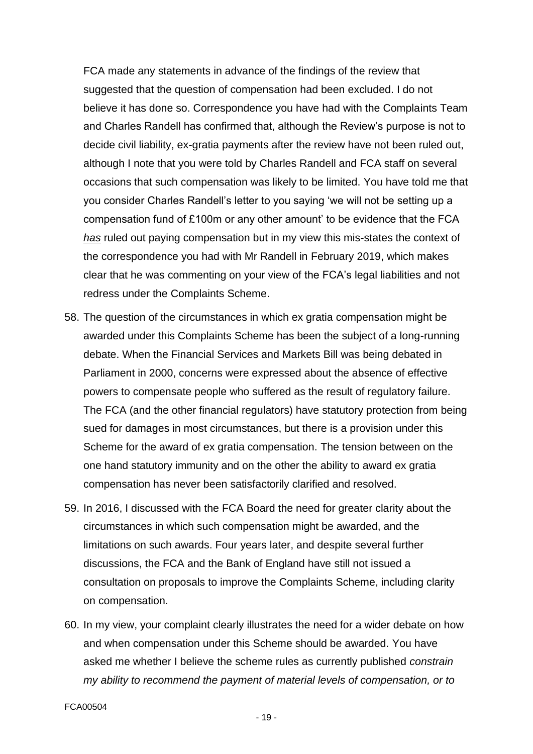FCA made any statements in advance of the findings of the review that suggested that the question of compensation had been excluded. I do not believe it has done so. Correspondence you have had with the Complaints Team and Charles Randell has confirmed that, although the Review's purpose is not to decide civil liability, ex-gratia payments after the review have not been ruled out, although I note that you were told by Charles Randell and FCA staff on several occasions that such compensation was likely to be limited. You have told me that you consider Charles Randell's letter to you saying 'we will not be setting up a compensation fund of £100m or any other amount' to be evidence that the FCA *has* ruled out paying compensation but in my view this mis-states the context of the correspondence you had with Mr Randell in February 2019, which makes clear that he was commenting on your view of the FCA's legal liabilities and not redress under the Complaints Scheme.

- 58. The question of the circumstances in which ex gratia compensation might be awarded under this Complaints Scheme has been the subject of a long-running debate. When the Financial Services and Markets Bill was being debated in Parliament in 2000, concerns were expressed about the absence of effective powers to compensate people who suffered as the result of regulatory failure. The FCA (and the other financial regulators) have statutory protection from being sued for damages in most circumstances, but there is a provision under this Scheme for the award of ex gratia compensation. The tension between on the one hand statutory immunity and on the other the ability to award ex gratia compensation has never been satisfactorily clarified and resolved.
- 59. In 2016, I discussed with the FCA Board the need for greater clarity about the circumstances in which such compensation might be awarded, and the limitations on such awards. Four years later, and despite several further discussions, the FCA and the Bank of England have still not issued a consultation on proposals to improve the Complaints Scheme, including clarity on compensation.
- 60. In my view, your complaint clearly illustrates the need for a wider debate on how and when compensation under this Scheme should be awarded. You have asked me whether I believe the scheme rules as currently published *constrain my ability to recommend the payment of material levels of compensation, or to*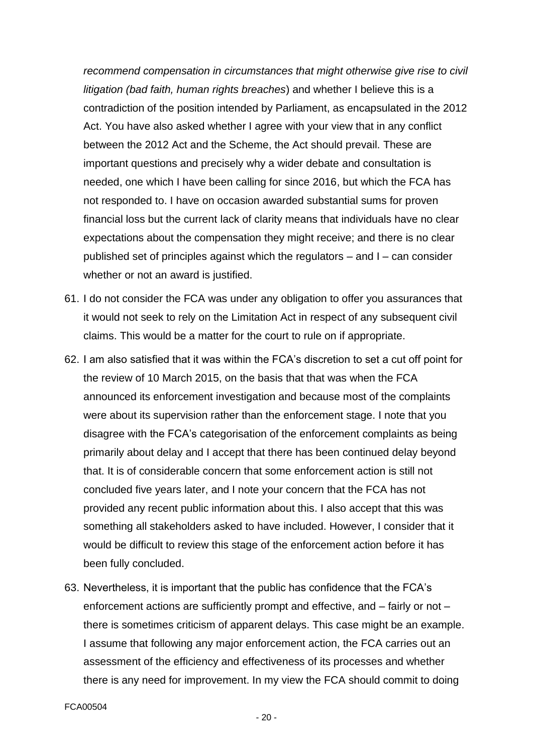*recommend compensation in circumstances that might otherwise give rise to civil litigation (bad faith, human rights breaches*) and whether I believe this is a contradiction of the position intended by Parliament, as encapsulated in the 2012 Act. You have also asked whether I agree with your view that in any conflict between the 2012 Act and the Scheme, the Act should prevail. These are important questions and precisely why a wider debate and consultation is needed, one which I have been calling for since 2016, but which the FCA has not responded to. I have on occasion awarded substantial sums for proven financial loss but the current lack of clarity means that individuals have no clear expectations about the compensation they might receive; and there is no clear published set of principles against which the regulators – and I – can consider whether or not an award is justified.

- 61. I do not consider the FCA was under any obligation to offer you assurances that it would not seek to rely on the Limitation Act in respect of any subsequent civil claims. This would be a matter for the court to rule on if appropriate.
- 62. I am also satisfied that it was within the FCA's discretion to set a cut off point for the review of 10 March 2015, on the basis that that was when the FCA announced its enforcement investigation and because most of the complaints were about its supervision rather than the enforcement stage. I note that you disagree with the FCA's categorisation of the enforcement complaints as being primarily about delay and I accept that there has been continued delay beyond that. It is of considerable concern that some enforcement action is still not concluded five years later, and I note your concern that the FCA has not provided any recent public information about this. I also accept that this was something all stakeholders asked to have included. However, I consider that it would be difficult to review this stage of the enforcement action before it has been fully concluded.
- 63. Nevertheless, it is important that the public has confidence that the FCA's enforcement actions are sufficiently prompt and effective, and – fairly or not – there is sometimes criticism of apparent delays. This case might be an example. I assume that following any major enforcement action, the FCA carries out an assessment of the efficiency and effectiveness of its processes and whether there is any need for improvement. In my view the FCA should commit to doing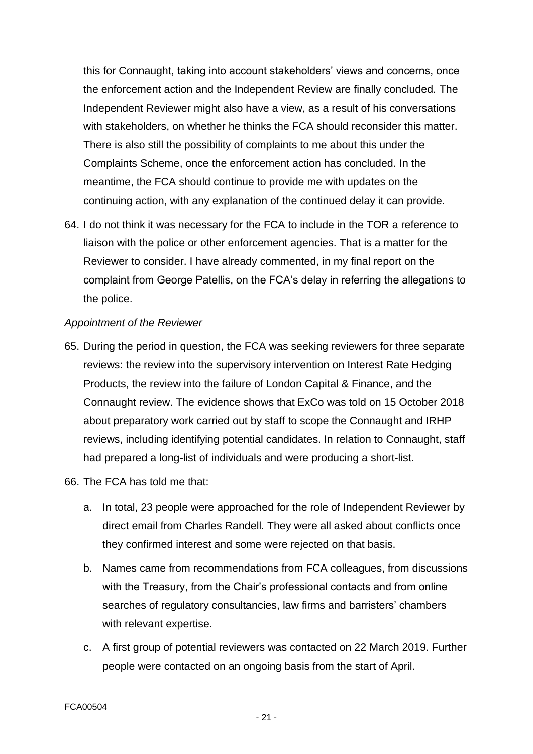this for Connaught, taking into account stakeholders' views and concerns, once the enforcement action and the Independent Review are finally concluded. The Independent Reviewer might also have a view, as a result of his conversations with stakeholders, on whether he thinks the FCA should reconsider this matter. There is also still the possibility of complaints to me about this under the Complaints Scheme, once the enforcement action has concluded. In the meantime, the FCA should continue to provide me with updates on the continuing action, with any explanation of the continued delay it can provide.

64. I do not think it was necessary for the FCA to include in the TOR a reference to liaison with the police or other enforcement agencies. That is a matter for the Reviewer to consider. I have already commented, in my final report on the complaint from George Patellis, on the FCA's delay in referring the allegations to the police.

## *Appointment of the Reviewer*

- 65. During the period in question, the FCA was seeking reviewers for three separate reviews: the review into the supervisory intervention on Interest Rate Hedging Products, the review into the failure of London Capital & Finance, and the Connaught review. The evidence shows that ExCo was told on 15 October 2018 about preparatory work carried out by staff to scope the Connaught and IRHP reviews, including identifying potential candidates. In relation to Connaught, staff had prepared a long-list of individuals and were producing a short-list.
- 66. The FCA has told me that:
	- a. In total, 23 people were approached for the role of Independent Reviewer by direct email from Charles Randell. They were all asked about conflicts once they confirmed interest and some were rejected on that basis.
	- b. Names came from recommendations from FCA colleagues, from discussions with the Treasury, from the Chair's professional contacts and from online searches of regulatory consultancies, law firms and barristers' chambers with relevant expertise.
	- c. A first group of potential reviewers was contacted on 22 March 2019. Further people were contacted on an ongoing basis from the start of April.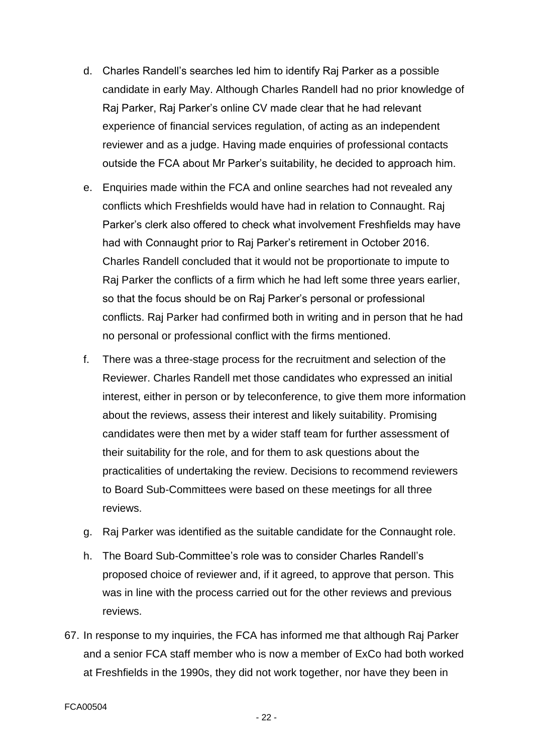- d. Charles Randell's searches led him to identify Raj Parker as a possible candidate in early May. Although Charles Randell had no prior knowledge of Raj Parker, Raj Parker's online CV made clear that he had relevant experience of financial services regulation, of acting as an independent reviewer and as a judge. Having made enquiries of professional contacts outside the FCA about Mr Parker's suitability, he decided to approach him.
- e. Enquiries made within the FCA and online searches had not revealed any conflicts which Freshfields would have had in relation to Connaught. Raj Parker's clerk also offered to check what involvement Freshfields may have had with Connaught prior to Raj Parker's retirement in October 2016. Charles Randell concluded that it would not be proportionate to impute to Raj Parker the conflicts of a firm which he had left some three years earlier, so that the focus should be on Raj Parker's personal or professional conflicts. Raj Parker had confirmed both in writing and in person that he had no personal or professional conflict with the firms mentioned.
- f. There was a three-stage process for the recruitment and selection of the Reviewer. Charles Randell met those candidates who expressed an initial interest, either in person or by teleconference, to give them more information about the reviews, assess their interest and likely suitability. Promising candidates were then met by a wider staff team for further assessment of their suitability for the role, and for them to ask questions about the practicalities of undertaking the review. Decisions to recommend reviewers to Board Sub-Committees were based on these meetings for all three reviews.
- g. Raj Parker was identified as the suitable candidate for the Connaught role.
- h. The Board Sub-Committee's role was to consider Charles Randell's proposed choice of reviewer and, if it agreed, to approve that person. This was in line with the process carried out for the other reviews and previous reviews.
- 67. In response to my inquiries, the FCA has informed me that although Raj Parker and a senior FCA staff member who is now a member of ExCo had both worked at Freshfields in the 1990s, they did not work together, nor have they been in

- 22 -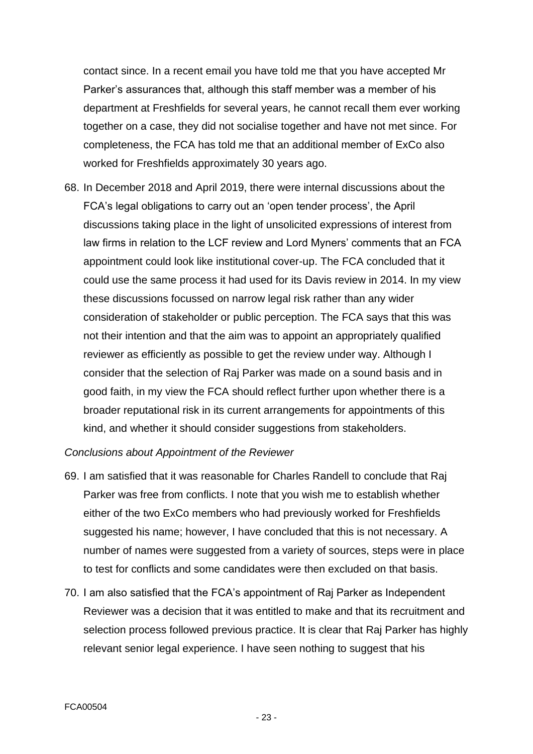contact since. In a recent email you have told me that you have accepted Mr Parker's assurances that, although this staff member was a member of his department at Freshfields for several years, he cannot recall them ever working together on a case, they did not socialise together and have not met since. For completeness, the FCA has told me that an additional member of ExCo also worked for Freshfields approximately 30 years ago.

68. In December 2018 and April 2019, there were internal discussions about the FCA's legal obligations to carry out an 'open tender process', the April discussions taking place in the light of unsolicited expressions of interest from law firms in relation to the LCF review and Lord Myners' comments that an FCA appointment could look like institutional cover-up. The FCA concluded that it could use the same process it had used for its Davis review in 2014. In my view these discussions focussed on narrow legal risk rather than any wider consideration of stakeholder or public perception. The FCA says that this was not their intention and that the aim was to appoint an appropriately qualified reviewer as efficiently as possible to get the review under way. Although I consider that the selection of Raj Parker was made on a sound basis and in good faith, in my view the FCA should reflect further upon whether there is a broader reputational risk in its current arrangements for appointments of this kind, and whether it should consider suggestions from stakeholders.

*Conclusions about Appointment of the Reviewer*

- 69. I am satisfied that it was reasonable for Charles Randell to conclude that Raj Parker was free from conflicts. I note that you wish me to establish whether either of the two ExCo members who had previously worked for Freshfields suggested his name; however, I have concluded that this is not necessary. A number of names were suggested from a variety of sources, steps were in place to test for conflicts and some candidates were then excluded on that basis.
- 70. I am also satisfied that the FCA's appointment of Raj Parker as Independent Reviewer was a decision that it was entitled to make and that its recruitment and selection process followed previous practice. It is clear that Raj Parker has highly relevant senior legal experience. I have seen nothing to suggest that his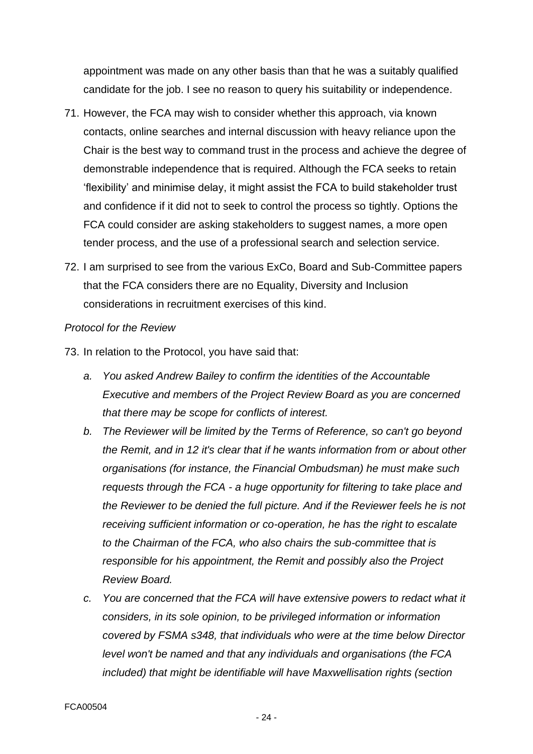appointment was made on any other basis than that he was a suitably qualified candidate for the job. I see no reason to query his suitability or independence.

- 71. However, the FCA may wish to consider whether this approach, via known contacts, online searches and internal discussion with heavy reliance upon the Chair is the best way to command trust in the process and achieve the degree of demonstrable independence that is required. Although the FCA seeks to retain 'flexibility' and minimise delay, it might assist the FCA to build stakeholder trust and confidence if it did not to seek to control the process so tightly. Options the FCA could consider are asking stakeholders to suggest names, a more open tender process, and the use of a professional search and selection service.
- 72. I am surprised to see from the various ExCo, Board and Sub-Committee papers that the FCA considers there are no Equality, Diversity and Inclusion considerations in recruitment exercises of this kind.

#### *Protocol for the Review*

- 73. In relation to the Protocol, you have said that:
	- *a. You asked Andrew Bailey to confirm the identities of the Accountable Executive and members of the Project Review Board as you are concerned that there may be scope for conflicts of interest.*
	- *b. The Reviewer will be limited by the Terms of Reference, so can't go beyond the Remit, and in 12 it's clear that if he wants information from or about other organisations (for instance, the Financial Ombudsman) he must make such requests through the FCA - a huge opportunity for filtering to take place and the Reviewer to be denied the full picture. And if the Reviewer feels he is not receiving sufficient information or co-operation, he has the right to escalate to the Chairman of the FCA, who also chairs the sub-committee that is responsible for his appointment, the Remit and possibly also the Project Review Board.*
	- *c. You are concerned that the FCA will have extensive powers to redact what it considers, in its sole opinion, to be privileged information or information covered by FSMA s348, that individuals who were at the time below Director level won't be named and that any individuals and organisations (the FCA included) that might be identifiable will have Maxwellisation rights (section*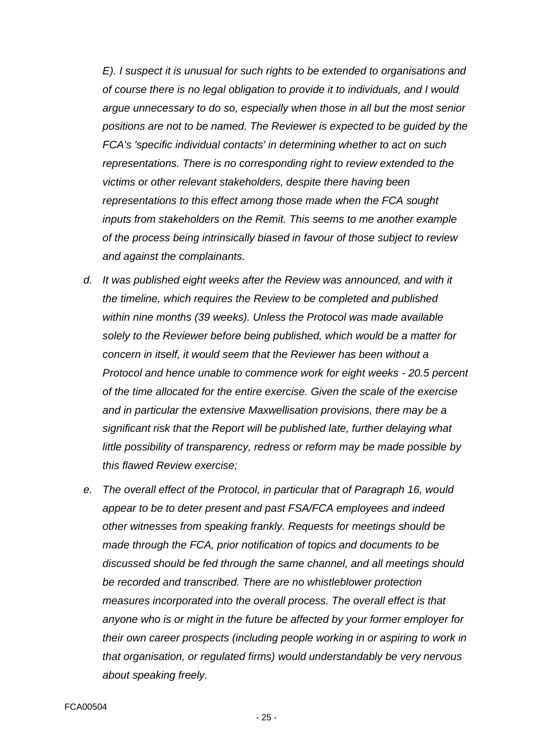*E). I suspect it is unusual for such rights to be extended to organisations and of course there is no legal obligation to provide it to individuals, and I would argue unnecessary to do so, especially when those in all but the most senior positions are not to be named. The Reviewer is expected to be guided by the FCA's 'specific individual contacts' in determining whether to act on such representations. There is no corresponding right to review extended to the victims or other relevant stakeholders, despite there having been representations to this effect among those made when the FCA sought inputs from stakeholders on the Remit. This seems to me another example of the process being intrinsically biased in favour of those subject to review and against the complainants.*

- *d. It was published eight weeks after the Review was announced, and with it the timeline, which requires the Review to be completed and published within nine months (39 weeks). Unless the Protocol was made available solely to the Reviewer before being published, which would be a matter for concern in itself, it would seem that the Reviewer has been without a Protocol and hence unable to commence work for eight weeks - 20.5 percent of the time allocated for the entire exercise. Given the scale of the exercise and in particular the extensive Maxwellisation provisions, there may be a significant risk that the Report will be published late, further delaying what little possibility of transparency, redress or reform may be made possible by this flawed Review exercise;*
- *e. The overall effect of the Protocol, in particular that of Paragraph 16, would appear to be to deter present and past FSA/FCA employees and indeed other witnesses from speaking frankly. Requests for meetings should be made through the FCA, prior notification of topics and documents to be discussed should be fed through the same channel, and all meetings should be recorded and transcribed. There are no whistleblower protection measures incorporated into the overall process. The overall effect is that anyone who is or might in the future be affected by your former employer for their own career prospects (including people working in or aspiring to work in that organisation, or regulated firms) would understandably be very nervous about speaking freely.*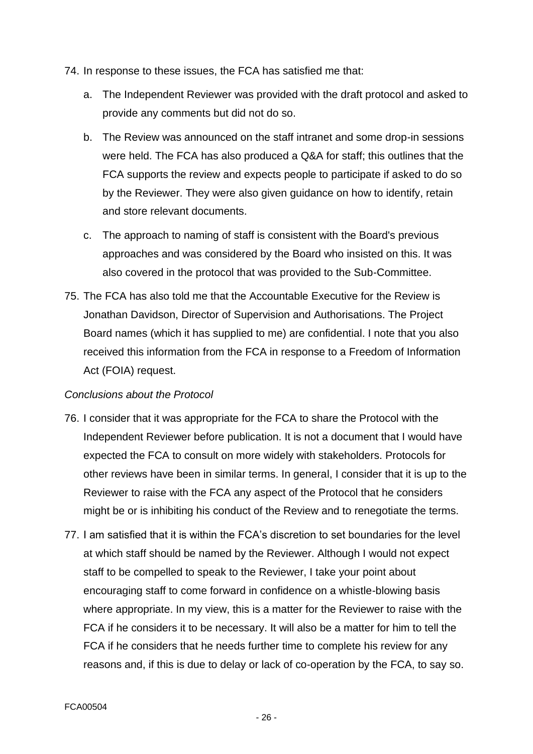- 74. In response to these issues, the FCA has satisfied me that:
	- a. The Independent Reviewer was provided with the draft protocol and asked to provide any comments but did not do so.
	- b. The Review was announced on the staff intranet and some drop-in sessions were held. The FCA has also produced a Q&A for staff; this outlines that the FCA supports the review and expects people to participate if asked to do so by the Reviewer. They were also given guidance on how to identify, retain and store relevant documents.
	- c. The approach to naming of staff is consistent with the Board's previous approaches and was considered by the Board who insisted on this. It was also covered in the protocol that was provided to the Sub-Committee.
- 75. The FCA has also told me that the Accountable Executive for the Review is Jonathan Davidson, Director of Supervision and Authorisations. The Project Board names (which it has supplied to me) are confidential. I note that you also received this information from the FCA in response to a Freedom of Information Act (FOIA) request.

# *Conclusions about the Protocol*

- 76. I consider that it was appropriate for the FCA to share the Protocol with the Independent Reviewer before publication. It is not a document that I would have expected the FCA to consult on more widely with stakeholders. Protocols for other reviews have been in similar terms. In general, I consider that it is up to the Reviewer to raise with the FCA any aspect of the Protocol that he considers might be or is inhibiting his conduct of the Review and to renegotiate the terms.
- 77. I am satisfied that it is within the FCA's discretion to set boundaries for the level at which staff should be named by the Reviewer. Although I would not expect staff to be compelled to speak to the Reviewer, I take your point about encouraging staff to come forward in confidence on a whistle-blowing basis where appropriate. In my view, this is a matter for the Reviewer to raise with the FCA if he considers it to be necessary. It will also be a matter for him to tell the FCA if he considers that he needs further time to complete his review for any reasons and, if this is due to delay or lack of co-operation by the FCA, to say so.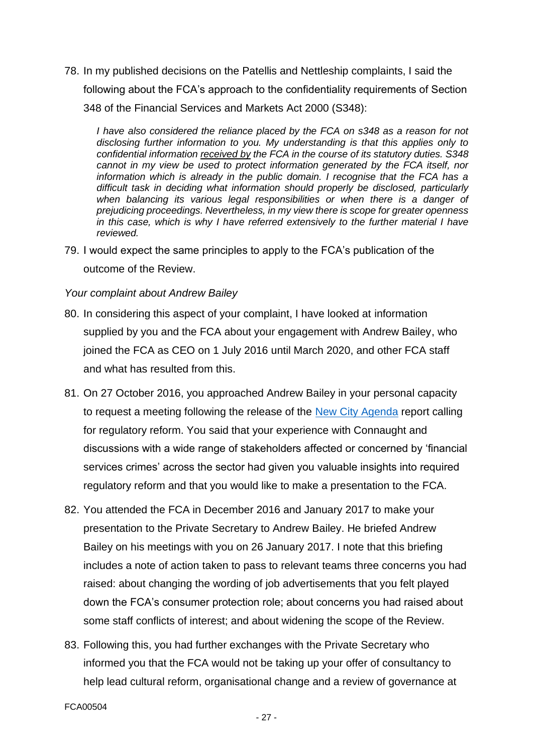78. In my published decisions on the Patellis and Nettleship complaints, I said the following about the FCA's approach to the confidentiality requirements of Section 348 of the Financial Services and Markets Act 2000 (S348):

*I have also considered the reliance placed by the FCA on s348 as a reason for not disclosing further information to you. My understanding is that this applies only to confidential information received by the FCA in the course of its statutory duties. S348 cannot in my view be used to protect information generated by the FCA itself, nor information which is already in the public domain. I recognise that the FCA has a difficult task in deciding what information should properly be disclosed, particularly*  when balancing its various legal responsibilities or when there is a danger of *prejudicing proceedings. Nevertheless, in my view there is scope for greater openness in this case, which is why I have referred extensively to the further material I have reviewed.*

79. I would expect the same principles to apply to the FCA's publication of the outcome of the Review.

#### *Your complaint about Andrew Bailey*

- 80. In considering this aspect of your complaint, I have looked at information supplied by you and the FCA about your engagement with Andrew Bailey, who joined the FCA as CEO on 1 July 2016 until March 2020, and other FCA staff and what has resulted from this.
- 81. On 27 October 2016, you approached Andrew Bailey in your personal capacity to request a meeting following the release of the [New City Agenda](https://newcityagenda.co.uk/culture_of_regulators/) report calling for regulatory reform. You said that your experience with Connaught and discussions with a wide range of stakeholders affected or concerned by 'financial services crimes' across the sector had given you valuable insights into required regulatory reform and that you would like to make a presentation to the FCA.
- 82. You attended the FCA in December 2016 and January 2017 to make your presentation to the Private Secretary to Andrew Bailey. He briefed Andrew Bailey on his meetings with you on 26 January 2017. I note that this briefing includes a note of action taken to pass to relevant teams three concerns you had raised: about changing the wording of job advertisements that you felt played down the FCA's consumer protection role; about concerns you had raised about some staff conflicts of interest; and about widening the scope of the Review.
- 83. Following this, you had further exchanges with the Private Secretary who informed you that the FCA would not be taking up your offer of consultancy to help lead cultural reform, organisational change and a review of governance at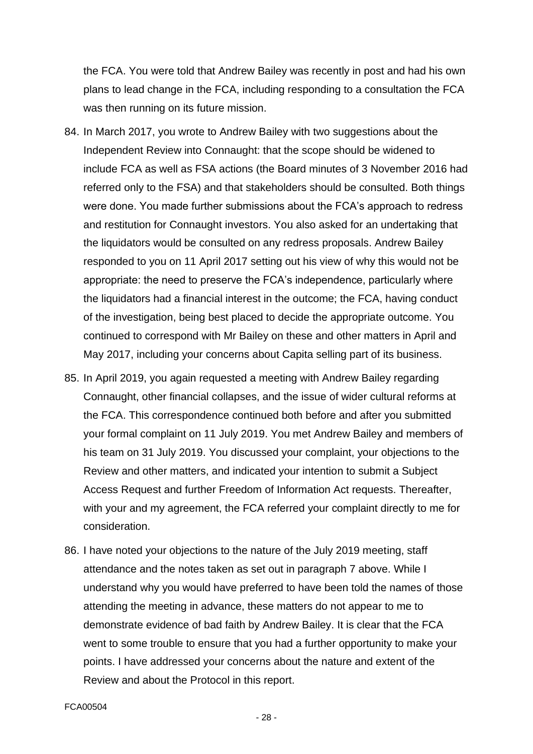the FCA. You were told that Andrew Bailey was recently in post and had his own plans to lead change in the FCA, including responding to a consultation the FCA was then running on its future mission.

- 84. In March 2017, you wrote to Andrew Bailey with two suggestions about the Independent Review into Connaught: that the scope should be widened to include FCA as well as FSA actions (the Board minutes of 3 November 2016 had referred only to the FSA) and that stakeholders should be consulted. Both things were done. You made further submissions about the FCA's approach to redress and restitution for Connaught investors. You also asked for an undertaking that the liquidators would be consulted on any redress proposals. Andrew Bailey responded to you on 11 April 2017 setting out his view of why this would not be appropriate: the need to preserve the FCA's independence, particularly where the liquidators had a financial interest in the outcome; the FCA, having conduct of the investigation, being best placed to decide the appropriate outcome. You continued to correspond with Mr Bailey on these and other matters in April and May 2017, including your concerns about Capita selling part of its business.
- 85. In April 2019, you again requested a meeting with Andrew Bailey regarding Connaught, other financial collapses, and the issue of wider cultural reforms at the FCA. This correspondence continued both before and after you submitted your formal complaint on 11 July 2019. You met Andrew Bailey and members of his team on 31 July 2019. You discussed your complaint, your objections to the Review and other matters, and indicated your intention to submit a Subject Access Request and further Freedom of Information Act requests. Thereafter, with your and my agreement, the FCA referred your complaint directly to me for consideration.
- 86. I have noted your objections to the nature of the July 2019 meeting, staff attendance and the notes taken as set out in paragraph 7 above. While I understand why you would have preferred to have been told the names of those attending the meeting in advance, these matters do not appear to me to demonstrate evidence of bad faith by Andrew Bailey. It is clear that the FCA went to some trouble to ensure that you had a further opportunity to make your points. I have addressed your concerns about the nature and extent of the Review and about the Protocol in this report.

FCA00504

- 28 -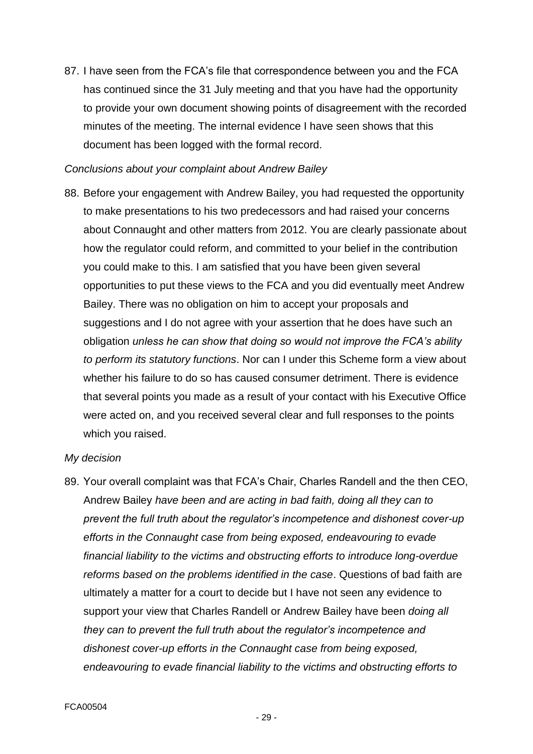87. I have seen from the FCA's file that correspondence between you and the FCA has continued since the 31 July meeting and that you have had the opportunity to provide your own document showing points of disagreement with the recorded minutes of the meeting. The internal evidence I have seen shows that this document has been logged with the formal record.

#### *Conclusions about your complaint about Andrew Bailey*

88. Before your engagement with Andrew Bailey, you had requested the opportunity to make presentations to his two predecessors and had raised your concerns about Connaught and other matters from 2012. You are clearly passionate about how the regulator could reform, and committed to your belief in the contribution you could make to this. I am satisfied that you have been given several opportunities to put these views to the FCA and you did eventually meet Andrew Bailey. There was no obligation on him to accept your proposals and suggestions and I do not agree with your assertion that he does have such an obligation *unless he can show that doing so would not improve the FCA's ability to perform its statutory functions*. Nor can I under this Scheme form a view about whether his failure to do so has caused consumer detriment. There is evidence that several points you made as a result of your contact with his Executive Office were acted on, and you received several clear and full responses to the points which you raised.

#### *My decision*

89. Your overall complaint was that FCA's Chair, Charles Randell and the then CEO, Andrew Bailey *have been and are acting in bad faith, doing all they can to prevent the full truth about the regulator's incompetence and dishonest cover-up efforts in the Connaught case from being exposed, endeavouring to evade financial liability to the victims and obstructing efforts to introduce long-overdue reforms based on the problems identified in the case*. Questions of bad faith are ultimately a matter for a court to decide but I have not seen any evidence to support your view that Charles Randell or Andrew Bailey have been *doing all they can to prevent the full truth about the regulator's incompetence and dishonest cover-up efforts in the Connaught case from being exposed, endeavouring to evade financial liability to the victims and obstructing efforts to*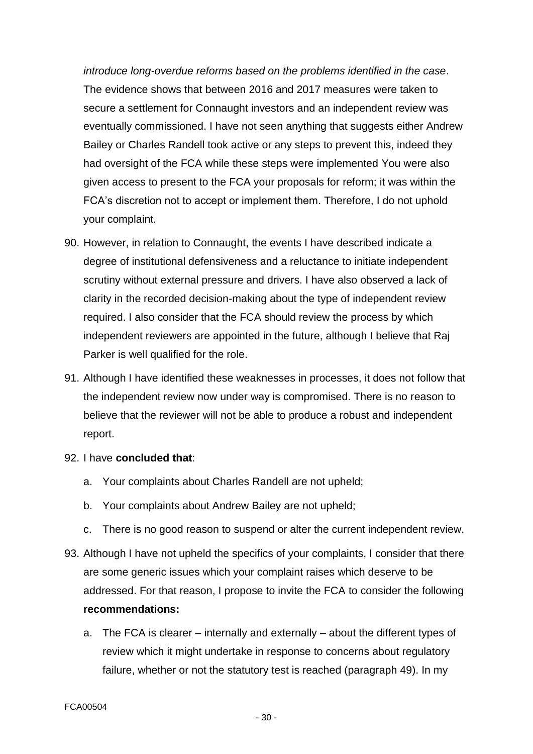*introduce long-overdue reforms based on the problems identified in the case*. The evidence shows that between 2016 and 2017 measures were taken to secure a settlement for Connaught investors and an independent review was eventually commissioned. I have not seen anything that suggests either Andrew Bailey or Charles Randell took active or any steps to prevent this, indeed they had oversight of the FCA while these steps were implemented You were also given access to present to the FCA your proposals for reform; it was within the FCA's discretion not to accept or implement them. Therefore, I do not uphold your complaint.

- 90. However, in relation to Connaught, the events I have described indicate a degree of institutional defensiveness and a reluctance to initiate independent scrutiny without external pressure and drivers. I have also observed a lack of clarity in the recorded decision-making about the type of independent review required. I also consider that the FCA should review the process by which independent reviewers are appointed in the future, although I believe that Raj Parker is well qualified for the role.
- 91. Although I have identified these weaknesses in processes, it does not follow that the independent review now under way is compromised. There is no reason to believe that the reviewer will not be able to produce a robust and independent report.
- 92. I have **concluded that**:
	- a. Your complaints about Charles Randell are not upheld;
	- b. Your complaints about Andrew Bailey are not upheld;
	- c. There is no good reason to suspend or alter the current independent review.
- 93. Although I have not upheld the specifics of your complaints, I consider that there are some generic issues which your complaint raises which deserve to be addressed. For that reason, I propose to invite the FCA to consider the following **recommendations:**
	- a. The FCA is clearer internally and externally about the different types of review which it might undertake in response to concerns about regulatory failure, whether or not the statutory test is reached (paragraph 49). In my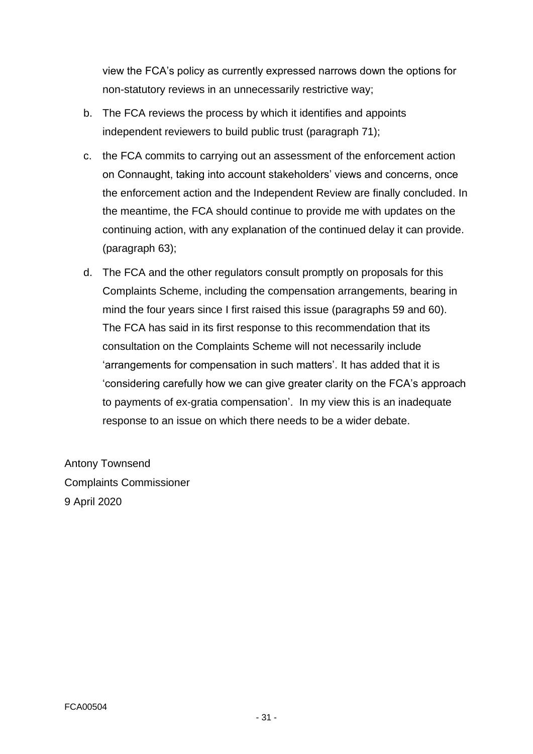view the FCA's policy as currently expressed narrows down the options for non-statutory reviews in an unnecessarily restrictive way;

- b. The FCA reviews the process by which it identifies and appoints independent reviewers to build public trust (paragraph 71);
- c. the FCA commits to carrying out an assessment of the enforcement action on Connaught, taking into account stakeholders' views and concerns, once the enforcement action and the Independent Review are finally concluded. In the meantime, the FCA should continue to provide me with updates on the continuing action, with any explanation of the continued delay it can provide. (paragraph 63);
- d. The FCA and the other regulators consult promptly on proposals for this Complaints Scheme, including the compensation arrangements, bearing in mind the four years since I first raised this issue (paragraphs 59 and 60). The FCA has said in its first response to this recommendation that its consultation on the Complaints Scheme will not necessarily include 'arrangements for compensation in such matters'. It has added that it is 'considering carefully how we can give greater clarity on the FCA's approach to payments of ex-gratia compensation'. In my view this is an inadequate response to an issue on which there needs to be a wider debate.

Antony Townsend Complaints Commissioner 9 April 2020